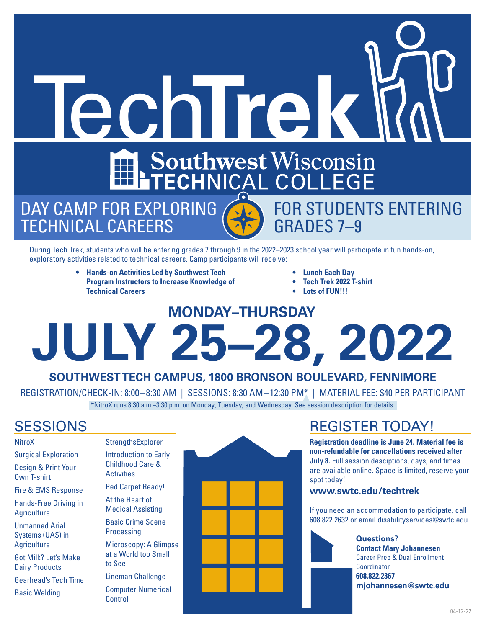

During Tech Trek, students who will be entering grades 7 through 9 in the 2022–2023 school year will participate in fun hands-on, exploratory activities related to technical careers. Camp participants will receive:

- **• Hands-on Activities Led by Southwest Tech Program Instructors to Increase Knowledge of Technical Careers**
- **• Lunch Each Day**
- **• Tech Trek 2022 T-shirt**
- **• Lots of FUN!!!**

# **MONDAY–THURSDAY JULY 25–28, 2022**

## **SOUTHWEST TECH CAMPUS, 1800 BRONSON BOULEVARD, FENNIMORE**

REGISTRATION/CHECK-IN: 8:00–8:30 AM | SESSIONS: 8:30 AM–12:30 PM\* | MATERIAL FEE: \$40 PER PARTICIPANT \*NitroX runs 8:30 a.m.–3:30 p.m. on Monday, Tuesday, and Wednesday. See session description for details.

#### **NitroX**

Surgical Exploration Design & Print Your Own T-shirt

Fire & EMS Response

Hands-Free Driving in **Agriculture** 

Unmanned Arial Systems (UAS) in **Agriculture** 

Got Milk? Let's Make Dairy Products

Gearhead's Tech Time

Basic Welding

Introduction to Early Childhood Care & **Activities** 

**StrengthsExplorer** 

Red Carpet Ready!

At the Heart of Medical Assisting

Basic Crime Scene **Processing** 

Microscopy: A Glimpse at a World too Small to See

Lineman Challenge Computer Numerical **Control** 



## SESSIONS REGISTER TODAY!

**Registration deadline is June 24. Material fee is non-refundable for cancellations received after July 8.** Full session desciptions, days, and times are available online. Space is limited, reserve your spot today!

#### **www.swtc.edu/techtrek**

If you need an accommodation to participate, call 608.822.2632 or email disabilityservices@swtc.edu

> **Questions? Contact Mary Johannesen** Career Prep & Dual Enrollment Coordinator **608.822.2367 mjohannesen@swtc.edu**